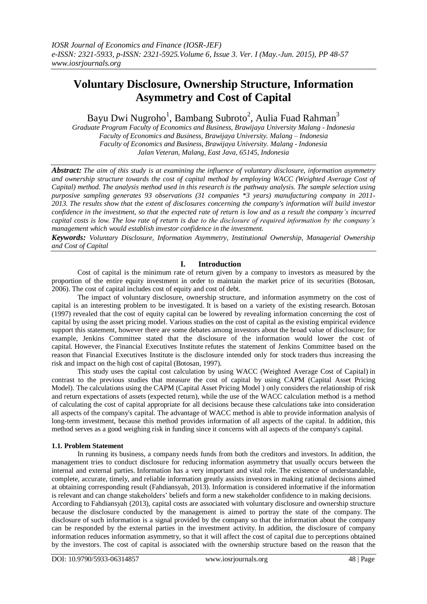# **Voluntary Disclosure, Ownership Structure, Information Asymmetry and Cost of Capital**

Bayu Dwi Nugroho<sup>1</sup>, Bambang Subroto<sup>2</sup>, Aulia Fuad Rahman<sup>3</sup>

*Graduate Program Faculty of Economics and Business, Brawijaya University Malang - Indonesia Faculty of Economics and Business, Brawijaya University. Malang – Indonesia Faculty of Economics and Business, Brawijaya University. Malang - Indonesia Jalan Veteran, Malang, East Java, 65145, Indonesia*

*Abstract: The aim of this study is at examining the influence of voluntary disclosure, information asymmetry and ownership structure towards the cost of capital method by employing WACC (Weighted Average Cost of Capital) method. The analysis method used in this research is the pathway analysis. The sample selection using purposive sampling generates 93 observations (31 companies \*3 years) manufacturing company in 2011- 2013. The results show that the extent of disclosures concerning the company's information will build investor confidence in the investment, so that the expected rate of return is low and as a result the company's incurred capital costs is low. The low rate of return is due to the disclosure of required information by the company's management which would establish investor confidence in the investment.*

*Keywords: Voluntary Disclosure, Information Asymmetry, Institutional Ownership, Managerial Ownership and Cost of Capital*

## **I. Introduction**

Cost of capital is the minimum rate of return given by a company to investors as measured by the proportion of the entire equity investment in order to maintain the market price of its securities (Botosan, 2006). The cost of capital includes cost of equity and cost of debt.

The impact of voluntary disclosure, ownership structure, and information asymmetry on the cost of capital is an interesting problem to be investigated. It is based on a variety of the existing research. Botosan (1997) revealed that the cost of equity capital can be lowered by revealing information concerning the cost of capital by using the asset pricing model. Various studies on the cost of capital as the existing empirical evidence support this statement, however there are some debates among investors about the broad value of disclosure; for example, Jenkins Committee stated that the disclosure of the information would lower the cost of capital. However, the Financial Executives Institute refutes the statement of Jenkins Committee based on the reason that Financial Executives Institute is the disclosure intended only for stock traders thus increasing the risk and impact on the high cost of capital (Botosan, 1997).

This study uses the capital cost calculation by using WACC (Weighted Average Cost of Capital) in contrast to the previous studies that measure the cost of capital by using CAPM (Capital Asset Pricing Model). The calculations using the CAPM (Capital Asset Pricing Model ) only considers the relationship of risk and return expectations of assets (expected return), while the use of the WACC calculation method is a method of calculating the cost of capital appropriate for all decisions because these calculations take into consideration all aspects of the company's capital. The advantage of WACC method is able to provide information analysis of long-term investment, because this method provides information of all aspects of the capital. In addition, this method serves as a good weighing risk in funding since it concerns with all aspects of the company's capital.

#### **1.1. Problem Statement**

In running its business, a company needs funds from both the creditors and investors. In addition, the management tries to conduct disclosure for reducing information asymmetry that usually occurs between the internal and external parties. Information has a very important and vital role. The existence of understandable, complete, accurate, timely, and reliable information greatly assists investors in making rational decisions aimed at obtaining corresponding result (Fahdiansyah, 2013). Information is considered informative if the information is relevant and can change stakeholders' beliefs and form a new stakeholder confidence to in making decisions. According to Fahdiansyah (2013), capital costs are associated with voluntary disclosure and ownership structure because the disclosure conducted by the management is aimed to portray the state of the company. The disclosure of such information is a signal provided by the company so that the information about the company can be responded by the external parties in the investment activity. In addition, the disclosure of company information reduces information asymmetry, so that it will affect the cost of capital due to perceptions obtained by the investors. The cost of capital is associated with the ownership structure based on the reason that the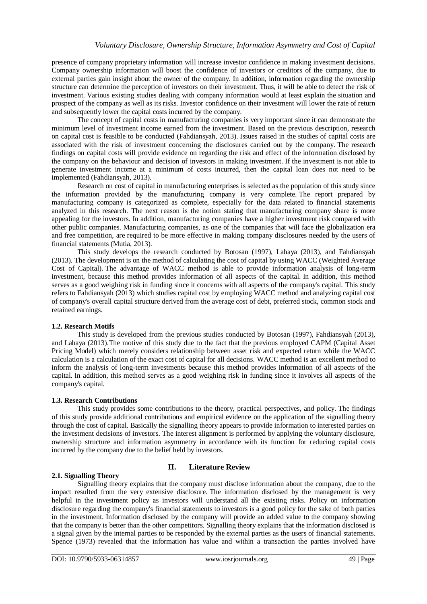presence of company proprietary information will increase investor confidence in making investment decisions. Company ownership information will boost the confidence of investors or creditors of the company, due to external parties gain insight about the owner of the company. In addition, information regarding the ownership structure can determine the perception of investors on their investment. Thus, it will be able to detect the risk of investment. Various existing studies dealing with company information would at least explain the situation and prospect of the company as well as its risks. Investor confidence on their investment will lower the rate of return and subsequently lower the capital costs incurred by the company.

The concept of capital costs in manufacturing companies is very important since it can demonstrate the minimum level of investment income earned from the investment. Based on the previous description, research on capital cost is feasible to be conducted (Fahdiansyah, 2013). Issues raised in the studies of capital costs are associated with the risk of investment concerning the disclosures carried out by the company. The research findings on capital costs will provide evidence on regarding the risk and effect of the information disclosed by the company on the behaviour and decision of investors in making investment. If the investment is not able to generate investment income at a minimum of costs incurred, then the capital loan does not need to be implemented (Fahdiansyah, 2013).

Research on cost of capital in manufacturing enterprises is selected as the population of this study since the information provided by the manufacturing company is very complete. The report prepared by manufacturing company is categorized as complete, especially for the data related to financial statements analyzed in this research. The next reason is the notion stating that manufacturing company share is more appealing for the investors. In addition, manufacturing companies have a higher investment risk compared with other public companies. Manufacturing companies, as one of the companies that will face the globalization era and free competition, are required to be more effective in making company disclosures needed by the users of financial statements (Mutia, 2013).

This study develops the research conducted by Botosan (1997), Lahaya (2013), and Fahdiansyah (2013). The development is on the method of calculating the cost of capital by using WACC (Weighted Average Cost of Capital). The advantage of WACC method is able to provide information analysis of long-term investment, because this method provides information of all aspects of the capital. In addition, this method serves as a good weighing risk in funding since it concerns with all aspects of the company's capital. This study refers to Fahdiansyah (2013) which studies capital cost by employing WACC method and analyzing capital cost of company's overall capital structure derived from the average cost of debt, preferred stock, common stock and retained earnings.

## **1.2. Research Motifs**

This study is developed from the previous studies conducted by Botosan (1997), Fahdiansyah (2013), and Lahaya (2013).The motive of this study due to the fact that the previous employed CAPM (Capital Asset Pricing Model) which merely considers relationship between asset risk and expected return while the WACC calculation is a calculation of the exact cost of capital for all decisions. WACC method is an excellent method to inform the analysis of long-term investments because this method provides information of all aspects of the capital. In addition, this method serves as a good weighing risk in funding since it involves all aspects of the company's capital.

## **1.3. Research Contributions**

This study provides some contributions to the theory, practical perspectives, and policy. The findings of this study provide additional contributions and empirical evidence on the application of the signalling theory through the cost of capital. Basically the signalling theory appears to provide information to interested parties on the investment decisions of investors. The interest alignment is performed by applying the voluntary disclosure, ownership structure and information asymmetry in accordance with its function for reducing capital costs incurred by the company due to the belief held by investors.

## **2.1. Signalling Theory**

# **II. Literature Review**

Signalling theory explains that the company must disclose information about the company, due to the impact resulted from the very extensive disclosure. The information disclosed by the management is very helpful in the investment policy as investors will understand all the existing risks. Policy on information disclosure regarding the company's financial statements to investors is a good policy for the sake of both parties in the investment. Information disclosed by the company will provide an added value to the company showing that the company is better than the other competitors. Signalling theory explains that the information disclosed is a signal given by the internal parties to be responded by the external parties as the users of financial statements. Spence (1973) revealed that the information has value and within a transaction the parties involved have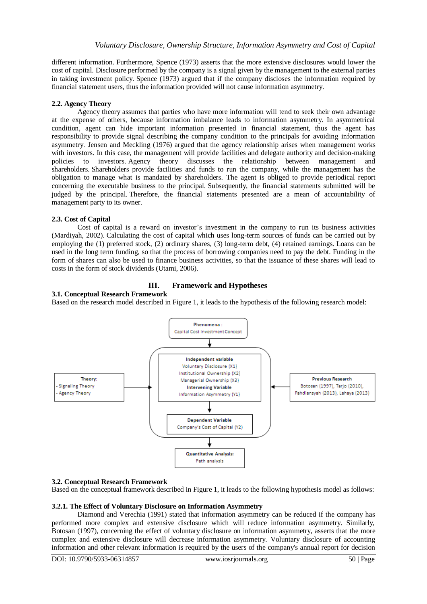different information. Furthermore, Spence (1973) asserts that the more extensive disclosures would lower the cost of capital. Disclosure performed by the company is a signal given by the management to the external parties in taking investment policy. Spence (1973) argued that if the company discloses the information required by financial statement users, thus the information provided will not cause information asymmetry.

## **2.2. Agency Theory**

Agency theory assumes that parties who have more information will tend to seek their own advantage at the expense of others, because information imbalance leads to information asymmetry. In asymmetrical condition, agent can hide important information presented in financial statement, thus the agent has responsibility to provide signal describing the company condition to the principals for avoiding information asymmetry. Jensen and Meckling (1976) argued that the agency relationship arises when management works with investors. In this case, the management will provide facilities and delegate authority and decision-making policies to investors. Agency theory discusses the relationship between management and shareholders. Shareholders provide facilities and funds to run the company, while the management has the obligation to manage what is mandated by shareholders. The agent is obliged to provide periodical report concerning the executable business to the principal. Subsequently, the financial statements submitted will be judged by the principal. Therefore, the financial statements presented are a mean of accountability of management party to its owner.

## **2.3. Cost of Capital**

Cost of capital is a reward on investor's investment in the company to run its business activities (Mardiyah, 2002). Calculating the cost of capital which uses long-term sources of funds can be carried out by employing the (1) preferred stock, (2) ordinary shares, (3) long-term debt, (4) retained earnings. Loans can be used in the long term funding, so that the process of borrowing companies need to pay the debt. Funding in the form of shares can also be used to finance business activities, so that the issuance of these shares will lead to costs in the form of stock dividends (Utami, 2006).

# **III. Framework and Hypotheses**

## **3.1. Conceptual Research Framework**

Based on the research model described in Figure 1, it leads to the hypothesis of the following research model:



## **3.2. Conceptual Research Framework**

Based on the conceptual framework described in Figure 1, it leads to the following hypothesis model as follows:

## **3.2.1. The Effect of Voluntary Disclosure on Information Asymmetry**

Diamond and Verechia (1991) stated that information asymmetry can be reduced if the company has performed more complex and extensive disclosure which will reduce information asymmetry. Similarly, Botosan (1997), concerning the effect of voluntary disclosure on information asymmetry, asserts that the more complex and extensive disclosure will decrease information asymmetry. Voluntary disclosure of accounting information and other relevant information is required by the users of the company's annual report for decision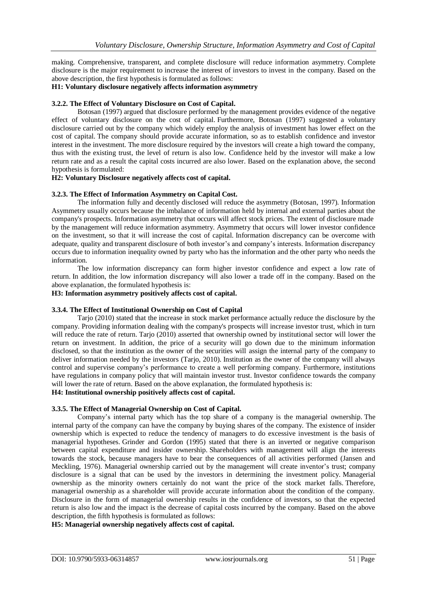making. Comprehensive, transparent, and complete disclosure will reduce information asymmetry. Complete disclosure is the major requirement to increase the interest of investors to invest in the company. Based on the above description, the first hypothesis is formulated as follows:

#### **H1: Voluntary disclosure negatively affects information asymmetry**

## **3.2.2. The Effect of Voluntary Disclosure on Cost of Capital.**

Botosan (1997) argued that disclosure performed by the management provides evidence of the negative effect of voluntary disclosure on the cost of capital. Furthermore, Botosan (1997) suggested a voluntary disclosure carried out by the company which widely employ the analysis of investment has lower effect on the cost of capital. The company should provide accurate information, so as to establish confidence and investor interest in the investment. The more disclosure required by the investors will create a high toward the company, thus with the existing trust, the level of return is also low. Confidence held by the investor will make a low return rate and as a result the capital costs incurred are also lower. Based on the explanation above, the second hypothesis is formulated:

## **H2: Voluntary Disclosure negatively affects cost of capital.**

#### **3.2.3. The Effect of Information Asymmetry on Capital Cost.**

The information fully and decently disclosed will reduce the asymmetry (Botosan, 1997). Information Asymmetry usually occurs because the imbalance of information held by internal and external parties about the company's prospects. Information asymmetry that occurs will affect stock prices. The extent of disclosure made by the management will reduce information asymmetry. Asymmetry that occurs will lower investor confidence on the investment, so that it will increase the cost of capital. Information discrepancy can be overcome with adequate, quality and transparent disclosure of both investor's and company's interests. Information discrepancy occurs due to information inequality owned by party who has the information and the other party who needs the information.

The low information discrepancy can form higher investor confidence and expect a low rate of return. In addition, the low information discrepancy will also lower a trade off in the company. Based on the above explanation, the formulated hypothesis is:

## **H3: Information asymmetry positively affects cost of capital.**

#### **3.3.4. The Effect of Institutional Ownership on Cost of Capital**

Tarjo (2010) stated that the increase in stock market performance actually reduce the disclosure by the company. Providing information dealing with the company's prospects will increase investor trust, which in turn will reduce the rate of return. Tarjo (2010) asserted that ownership owned by institutional sector will lower the return on investment. In addition, the price of a security will go down due to the minimum information disclosed, so that the institution as the owner of the securities will assign the internal party of the company to deliver information needed by the investors (Tarjo, 2010). Institution as the owner of the company will always control and supervise company's performance to create a well performing company. Furthermore, institutions have regulations in company policy that will maintain investor trust. Investor confidence towards the company will lower the rate of return. Based on the above explanation, the formulated hypothesis is:

## **H4: Institutional ownership positively affects cost of capital.**

#### **3.3.5. The Effect of Managerial Ownership on Cost of Capital.**

Company's internal party which has the top share of a company is the managerial ownership. The internal party of the company can have the company by buying shares of the company. The existence of insider ownership which is expected to reduce the tendency of managers to do excessive investment is the basis of managerial hypotheses. Grinder and Gordon (1995) stated that there is an inverted or negative comparison between capital expenditure and insider ownership. Shareholders with management will align the interests towards the stock, because managers have to bear the consequences of all activities performed (Jansen and Meckling, 1976). Managerial ownership carried out by the management will create inventor's trust; company disclosure is a signal that can be used by the investors in determining the investment policy. Managerial ownership as the minority owners certainly do not want the price of the stock market falls. Therefore, managerial ownership as a shareholder will provide accurate information about the condition of the company. Disclosure in the form of managerial ownership results in the confidence of investors, so that the expected return is also low and the impact is the decrease of capital costs incurred by the company. Based on the above description, the fifth hypothesis is formulated as follows:

## **H5: Managerial ownership negatively affects cost of capital.**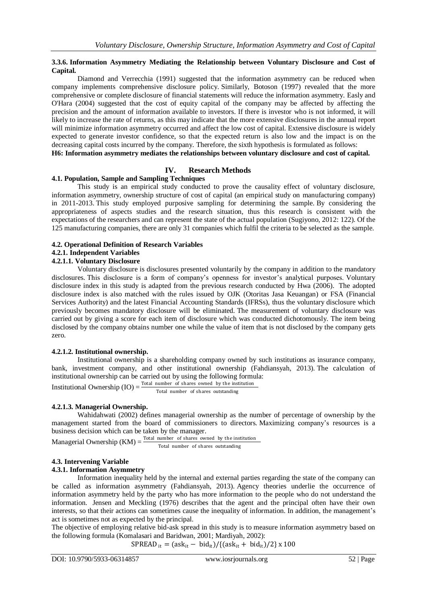#### **3.3.6. Information Asymmetry Mediating the Relationship between Voluntary Disclosure and Cost of Capital.**

Diamond and Verrecchia (1991) suggested that the information asymmetry can be reduced when company implements comprehensive disclosure policy. Similarly, Botoson (1997) revealed that the more comprehensive or complete disclosure of financial statements will reduce the information asymmetry. Easly and O'Hara (2004) suggested that the cost of equity capital of the company may be affected by affecting the precision and the amount of information available to investors. If there is investor who is not informed, it will likely to increase the rate of returns, as this may indicate that the more extensive disclosures in the annual report will minimize information asymmetry occurred and affect the low cost of capital. Extensive disclosure is widely expected to generate investor confidence, so that the expected return is also low and the impact is on the decreasing capital costs incurred by the company. Therefore, the sixth hypothesis is formulated as follows: **H6: Information asymmetry mediates the relationships between voluntary disclosure and cost of capital.** 

## **IV. Research Methods**

#### **4.1. Population, Sample and Sampling Techniques**

This study is an empirical study conducted to prove the causality effect of voluntary disclosure, information asymmetry, ownership structure of cost of capital (an empirical study on manufacturing company) in 2011-2013. This study employed purposive sampling for determining the sample. By considering the appropriateness of aspects studies and the research situation, thus this research is consistent with the expectations of the researchers and can represent the state of the actual population (Sugiyono, 2012: 122). Of the 125 manufacturing companies, there are only 31 companies which fulfil the criteria to be selected as the sample.

#### **4.2. Operational Definition of Research Variables**

## **4.2.1. Independent Variables**

#### **4.2.1.1. Voluntary Disclosure**

Voluntary disclosure is disclosures presented voluntarily by the company in addition to the mandatory disclosures. This disclosure is a form of company's openness for investor's analytical purposes. Voluntary disclosure index in this study is adapted from the previous research conducted by Hwa (2006). The adopted disclosure index is also matched with the rules issued by OJK (Otoritas Jasa Keuangan) or FSA (Financial Services Authority) and the latest Financial Accounting Standards (IFRSs), thus the voluntary disclosure which previously becomes mandatory disclosure will be eliminated. The measurement of voluntary disclosure was carried out by giving a score for each item of disclosure which was conducted dichotomously. The item being disclosed by the company obtains number one while the value of item that is not disclosed by the company gets zero.

#### **4.2.1.2. Institutional ownership.**

Institutional ownership is a shareholding company owned by such institutions as insurance company, bank, investment company, and other institutional ownership (Fahdiansyah, 2013). The calculation of institutional ownership can be carried out by using the following formula:

Institutional Ownership  $(IO) = \frac{Total number of shares owned by the institution$ Total number of shares outstanding

#### **4.2.1.3. Managerial Ownership.**

Wahidahwati (2002) defines managerial ownership as the number of percentage of ownership by the management started from the board of commissioners to directors. Maximizing company's resources is a business decision which can be taken by the manager.

Managerial Ownership  $(KM) = \frac{Total number of shares owned by the institution}{}$ Total number of shares outstanding

## **4.3. Intervening Variable**

#### **4.3.1. Information Asymmetry**

Information inequality held by the internal and external parties regarding the state of the company can be called as information asymmetry (Fahdiansyah, 2013). Agency theories underlie the occurrence of information asymmetry held by the party who has more information to the people who do not understand the information. Jensen and Meckling (1976) describes that the agent and the principal often have their own interests, so that their actions can sometimes cause the inequality of information. In addition, the management's act is sometimes not as expected by the principal.

The objective of employing relative bid-ask spread in this study is to measure information asymmetry based on the following formula (Komalasari and Baridwan, 2001; Mardiyah, 2002):

 $SPREAD_{it} = (ask_{it} - bid_{it})/{(ask_{it} + bid_{it})/2} \times 100$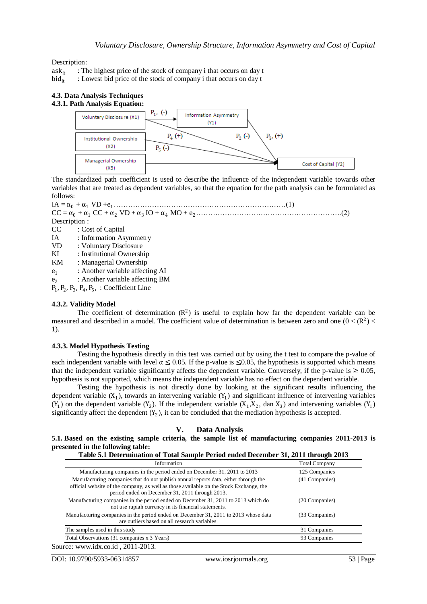Description:

 $ask_{it}$  : The highest price of the stock of company i that occurs on day t bid<sub>it</sub> : Lowest bid price of the stock of company i that occurs on day t

: Lowest bid price of the stock of company i that occurs on day t

#### **4.3. Data Analysis Techniques 4.3.1. Path Analysis Equation:**



The standardized path coefficient is used to describe the influence of the independent variable towards other variables that are treated as dependent variables, so that the equation for the path analysis can be formulated as follows:



## **4.3.2. Validity Model**

The coefficient of determination  $(R^2)$  is useful to explain how far the dependent variable can be measured and described in a model. The coefficient value of determination is between zero and one  $(0 < (R<sup>2</sup>) <$ 1).

#### **4.3.3. Model Hypothesis Testing**

Testing the hypothesis directly in this test was carried out by using the t test to compare the p-value of each independent variable with level  $\alpha \le 0.05$ . If the p-value is  $\le 0.05$ , the hypothesis is supported which means that the independent variable significantly affects the dependent variable. Conversely, if the p-value is  $\geq 0.05$ , hypothesis is not supported, which means the independent variable has no effect on the dependent variable.

Testing the hypothesis is not directly done by looking at the significant results influencing the dependent variable  $(X_1)$ , towards an intervening variable  $(Y_1)$  and significant influence of intervening variables  $(Y_1)$  on the dependent variable  $(Y_2)$ . If the independent variable  $(X_1, X_2, \text{ dan } X_3)$  and intervening variables  $(Y_1)$ significantly affect the dependent  $(Y_2)$ , it can be concluded that the mediation hypothesis is accepted.

| V. | Data Analysis |  |
|----|---------------|--|
|    |               |  |

#### **5.1. Based on the existing sample criteria, the sample list of manufacturing companies 2011-2013 is presented in the following table: Table 5.1 Determination of Total Sample Period ended December 31, 2011 through 2013**

| Information                                                                                                                                                                                                                      | <b>Total Company</b> |  |
|----------------------------------------------------------------------------------------------------------------------------------------------------------------------------------------------------------------------------------|----------------------|--|
| Manufacturing companies in the period ended on December 31, 2011 to 2013                                                                                                                                                         | 125 Companies        |  |
| Manufacturing companies that do not publish annual reports data, either through the<br>official website of the company, as well as those available on the Stock Exchange, the<br>period ended on December 31, 2011 through 2013. | (41 Companies)       |  |
| Manufacturing companies in the period ended on December 31, 2011 to 2013 which do<br>not use rupiah currency in its financial statements.                                                                                        | (20 Companies)       |  |
| Manufacturing companies in the period ended on December 31, 2011 to 2013 whose data<br>are outliers based on all research variables.                                                                                             | (33 Companies)       |  |
| The samples used in this study                                                                                                                                                                                                   | 31 Companies         |  |
| Total Observations (31 companies x 3 Years)                                                                                                                                                                                      | 93 Companies         |  |

Source: [www.idx.co.id](https://translate.google.com/translate?hl=id&prev=_t&sl=id&tl=en&u=http://www.idx.co.id) , 2011-2013.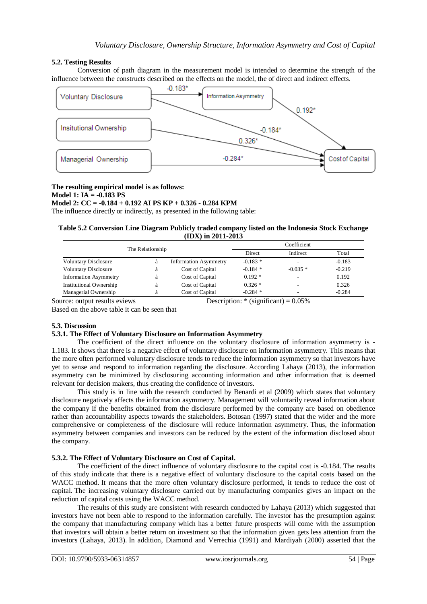## **5.2. Testing Results**

Conversion of path diagram in the measurement model is intended to determine the strength of the influence between the constructs described on the effects on the model, the of direct and indirect effects.



#### **The resulting empirical model is as follows: Model 1: IA = -0.183 PS Model 2: CC = -0.184 + 0.192 AI PS KP + 0.326 - 0.284 KPM**

The influence directly or indirectly, as presented in the following table:

## **Table 5.2 Conversion Line Diagram Publicly traded company listed on the Indonesia Stock Exchange (IDX) in 2011-2013**

| The Relationship             |   |                              | Coefficient   |           |          |
|------------------------------|---|------------------------------|---------------|-----------|----------|
|                              |   |                              | <b>Direct</b> | Indirect  | Total    |
| <b>Voluntary Disclosure</b>  |   | <b>Information Asymmetry</b> | $-0.183*$     | ٠         | $-0.183$ |
| <b>Voluntary Disclosure</b>  | a | Cost of Capital              | $-0.184*$     | $-0.035*$ | $-0.219$ |
| <b>Information Asymmetry</b> | a | Cost of Capital              | $0.192*$      | -         | 0.192    |
| Institutional Ownership      | a | Cost of Capital              | $0.326*$      | -         | 0.326    |
| Managerial Ownership         |   | Cost of Capital              | $-0.284$ *    | -         | $-0.284$ |

Source: output results eviews Description: \* (significant) =  $0.05\%$ 

Based on the above table it can be seen that

## **5.3. Discussion**

## **5.3.1. The Effect of Voluntary Disclosure on Information Asymmetry**

The coefficient of the direct influence on the voluntary disclosure of information asymmetry is - 1.183. It shows that there is a negative effect of voluntary disclosure on information asymmetry. This means that the more often performed voluntary disclosure tends to reduce the information asymmetry so that investors have yet to sense and respond to information regarding the disclosure. According Lahaya (2013), the information asymmetry can be minimized by disclosuring accounting information and other information that is deemed relevant for decision makers, thus creating the confidence of investors.

This study is in line with the research conducted by Benardi et al (2009) which states that voluntary disclosure negatively affects the information asymmetry. Management will voluntarily reveal information about the company if the benefits obtained from the disclosure performed by the company are based on obedience rather than accountability aspects towards the stakeholders. Botosan (1997) stated that the wider and the more comprehensive or completeness of the disclosure will reduce information asymmetry. Thus, the information asymmetry between companies and investors can be reduced by the extent of the information disclosed about the company.

## **5.3.2. The Effect of Voluntary Disclosure on Cost of Capital.**

The coefficient of the direct influence of voluntary disclosure to the capital cost is -0.184. The results of this study indicate that there is a negative effect of voluntary disclosure to the capital costs based on the WACC method. It means that the more often voluntary disclosure performed, it tends to reduce the cost of capital. The increasing voluntary disclosure carried out by manufacturing companies gives an impact on the reduction of capital costs using the WACC method.

The results of this study are consistent with research conducted by Lahaya (2013) which suggested that investors have not been able to respond to the information carefully. The investor has the presumption against the company that manufacturing company which has a better future prospects will come with the assumption that investors will obtain a better return on investment so that the information given gets less attention from the investors (Lahaya, 2013). In addition, Diamond and Verrechia (1991) and Mardiyah (2000) asserted that the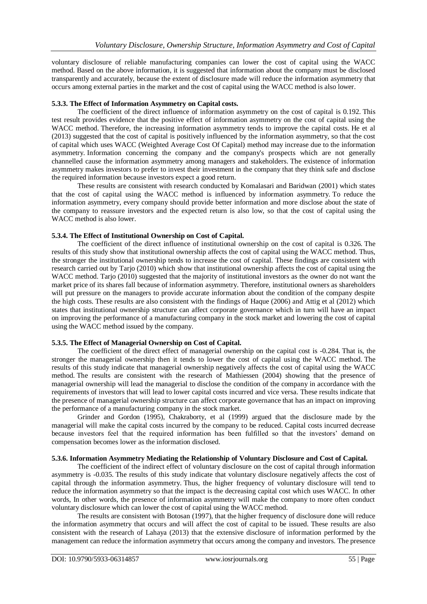voluntary disclosure of reliable manufacturing companies can lower the cost of capital using the WACC method. Based on the above information, it is suggested that information about the company must be disclosed transparently and accurately, because the extent of disclosure made will reduce the information asymmetry that occurs among external parties in the market and the cost of capital using the WACC method is also lower.

## **5.3.3. The Effect of Information Asymmetry on Capital costs.**

The coefficient of the direct influence of information asymmetry on the cost of capital is 0.192. This test result provides evidence that the positive effect of information asymmetry on the cost of capital using the WACC method. Therefore, the increasing information asymmetry tends to improve the capital costs. He et al (2013) suggested that the cost of capital is positively influenced by the information asymmetry, so that the cost of capital which uses WACC (Weighted Average Cost Of Capital) method may increase due to the information asymmetry. Information concerning the company and the company's prospects which are not generally channelled cause the information asymmetry among managers and stakeholders. The existence of information asymmetry makes investors to prefer to invest their investment in the company that they think safe and disclose the required information because investors expect a good return.

These results are consistent with research conducted by Komalasari and Baridwan (2001) which states that the cost of capital using the WACC method is influenced by information asymmetry. To reduce the information asymmetry, every company should provide better information and more disclose about the state of the company to reassure investors and the expected return is also low, so that the cost of capital using the WACC method is also lower.

## **5.3.4. The Effect of Institutional Ownership on Cost of Capital.**

The coefficient of the direct influence of institutional ownership on the cost of capital is 0.326. The results of this study show that institutional ownership affects the cost of capital using the WACC method. Thus, the stronger the institutional ownership tends to increase the cost of capital. These findings are consistent with research carried out by Tarjo (2010) which show that institutional ownership affects the cost of capital using the WACC method. Tarjo (2010) suggested that the majority of institutional investors as the owner do not want the market price of its shares fall because of information asymmetry. Therefore, institutional owners as shareholders will put pressure on the managers to provide accurate information about the condition of the company despite the high costs. These results are also consistent with the findings of Haque (2006) and Attig et al (2012) which states that institutional ownership structure can affect corporate governance which in turn will have an impact on improving the performance of a manufacturing company in the stock market and lowering the cost of capital using the WACC method issued by the company.

#### **5.3.5. The Effect of Managerial Ownership on Cost of Capital.**

The coefficient of the direct effect of managerial ownership on the capital cost is -0.284. That is, the stronger the managerial ownership then it tends to lower the cost of capital using the WACC method. The results of this study indicate that managerial ownership negatively affects the cost of capital using the WACC method. The results are consistent with the research of Mathiessen (2004) showing that the presence of managerial ownership will lead the managerial to disclose the condition of the company in accordance with the requirements of investors that will lead to lower capital costs incurred and vice versa. These results indicate that the presence of managerial ownership structure can affect corporate governance that has an impact on improving the performance of a manufacturing company in the stock market.

Grinder and Gordon (1995), Chakraborty, et al (1999) argued that the disclosure made by the managerial will make the capital costs incurred by the company to be reduced. Capital costs incurred decrease because investors feel that the required information has been fulfilled so that the investors' demand on compensation becomes lower as the information disclosed.

#### **5.3.6. Information Asymmetry Mediating the Relationship of Voluntary Disclosure and Cost of Capital.**

The coefficient of the indirect effect of voluntary disclosure on the cost of capital through information asymmetry is -0.035. The results of this study indicate that voluntary disclosure negatively affects the cost of capital through the information asymmetry. Thus, the higher frequency of voluntary disclosure will tend to reduce the information asymmetry so that the impact is the decreasing capital cost which uses WACC. In other words, In other words, the presence of information asymmetry will make the company to more often conduct voluntary disclosure which can lower the cost of capital using the WACC method.

The results are consistent with Botosan (1997), that the higher frequency of disclosure done will reduce the information asymmetry that occurs and will affect the cost of capital to be issued. These results are also consistent with the research of Lahaya (2013) that the extensive disclosure of information performed by the management can reduce the information asymmetry that occurs among the company and investors. The presence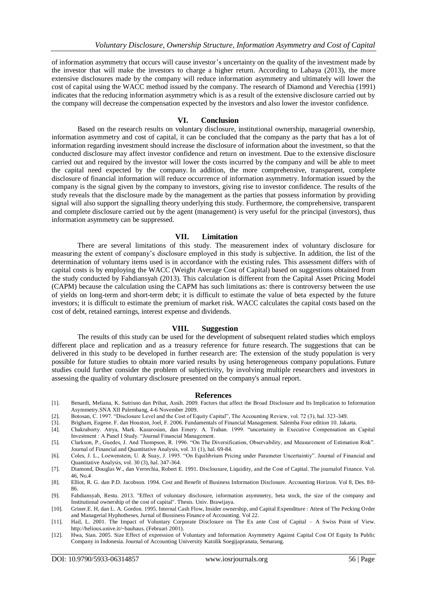of information asymmetry that occurs will cause investor's uncertainty on the quality of the investment made by the investor that will make the investors to charge a higher return. According to Lahaya (2013), the more extensive disclosures made by the company will reduce information asymmetry and ultimately will lower the cost of capital using the WACC method issued by the company. The research of Diamond and Verechia (1991) indicates that the reducing information asymmetry which is as a result of the extensive disclosure carried out by the company will decrease the compensation expected by the investors and also lower the investor confidence.

#### **VI. Conclusion**

Based on the research results on voluntary disclosure, institutional ownership, managerial ownership, information asymmetry and cost of capital, it can be concluded that the company as the party that has a lot of information regarding investment should increase the disclosure of information about the investment, so that the conducted disclosure may affect investor confidence and return on investment. Due to the extensive disclosure carried out and required by the investor will lower the costs incurred by the company and will be able to meet the capital need expected by the company. In addition, the more comprehensive, transparent, complete disclosure of financial information will reduce occurrence of information asymmetry. Information issued by the company is the signal given by the company to investors, giving rise to investor confidence. The results of the study reveals that the disclosure made by the management as the parties that possess information by providing signal will also support the signalling theory underlying this study. Furthermore, the comprehensive, transparent and complete disclosure carried out by the agent (management) is very useful for the principal (investors), thus information asymmetry can be suppressed.

#### **VII. Limitation**

There are several limitations of this study. The measurement index of voluntary disclosure for measuring the extent of company's disclosure employed in this study is subjective. In addition, the list of the determination of voluntary items used is in accordance with the existing rules. This assessment differs with of capital costs is by employing the WACC (Weight Average Cost of Capital) based on suggestions obtained from the study conducted by Fahdiansyah (2013). This calculation is different from the Capital Asset Pricing Model (CAPM) because the calculation using the CAPM has such limitations as: there is controversy between the use of yields on long-term and short-term debt; it is difficult to estimate the value of beta expected by the future investors; it is difficult to estimate the premium of market risk. WACC calculates the capital costs based on the cost of debt, retained earnings, interest expense and dividends.

## **VIII. Suggestion**

The results of this study can be used for the development of subsequent related studies which employs different place and replication and as a treasury reference for future research. The suggestions that can be delivered in this study to be developed in further research are: The extension of the study population is very possible for future studies to obtain more varied results by using heterogeneous company populations. Future studies could further consider the problem of subjectivity, by involving multiple researchers and investors in assessing the quality of voluntary disclosure presented on the company's annual report.

#### **References**

- [1]. Benardi, Meliana, K. Sutrisno dan Prihat, Assih. 2009. Factors that affect the Broad Disclosure and Its Implication to Information Asymmetry.SNA XII Palembang, 4-6 November 2009.
- [2]. Botosan, C. 1997. "Disclosure Level and the Cost of Equity Capital", The Accounting Review, vol. 72 (3), hal. 323-349.
- [3]. Brigham, Eugene. F. dan Houston, Joel, F. 2006. Fundamentals of Financial Management. Salemba Four edition 10. Jakarta.
- [4]. Chakraborty. Atrya, Mark. Kazarosian, dan Emery. A. Trahan. 1999. "uncertainty in Executive Compensation an Capital Investment : A Panel I Study. "Journal Financial Management.
- [5]. Clarkson, P., Guedes, J. And Thompson, R. 1996. "On The Diversification, Observability, and Measurement of Estimation Risk". Journal of Financial and Quantitative Analysis, vol. 31 (1), hal. 69-84.
- [6]. Coles, J. L., Loewenstein, U. & Suay, J. 1995. "On Equilibrium Pricing under Parameter Uncertaintiy". Journal of Financial and Quantitative Analysis, vol. 30 (3), hal. 347-364.
- [7]. Diamond, Douglas W., dan Verrechia, Robert E. 1991. Disclousure, Liquidity, and the Cost of Capital. The journalof Finance. Vol. 46, No.4
- [8]. Elliot, R. G. dan P.D. Jacobson. 1994. Cost and Benefit of Business Information Disclosure. Accounting Horizon. Vol 8, Des. 80- 86.
- [9]. Fahdiansyah, Restu. 2013. "Effect of voluntary disclosure, information asymmetry, beta stock, the size of the company and Institutional ownership of the cost of capital". Thesis. Univ. Brawijaya.
- [10]. Griner.E. H, dan L. A. Gordon. 1995. Internal Cash Flow, Insider ownership, and Capital Expenditure : Attest of The Pecking Order and Managerial Hyphotheses. Jurnal of Bussiness Finance of Accounting. Vol 22.
- [11]. Hail, L. 2001. The Impact of Voluntary Corporate Disclosure on The Ex ante Cost of Capital A Swiss Point of View. http://helious.unive.it/~bauhaus. (Februari 2001).
- [12]. Hwa, Sian. 2005. Size Effect of expression of Voluntary and Information Asymmetry Against Capital Cost Of Equity In Public Company in Indonesia. Journal of Accounting University Katolik Soegijapranata, Semarang.